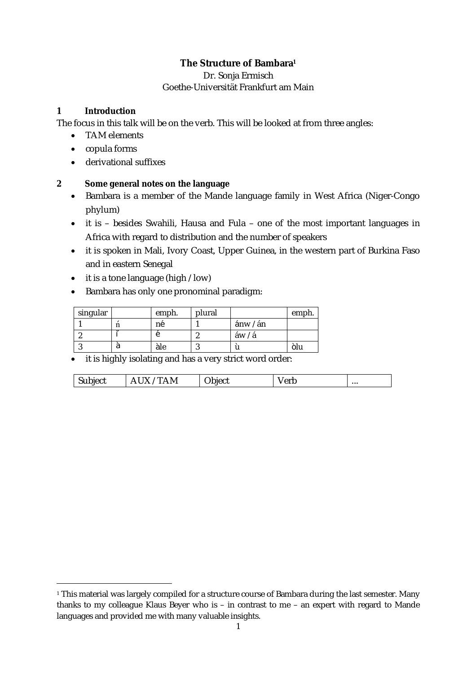# **The Structure of Bambara<sup>1</sup>**

## Dr. Sonja Ermisch Goethe-Universität Frankfurt am Main

# **1 Introduction**

 $\overline{a}$ 

The focus in this talk will be on the verb. This will be looked at from three angles:

- TAM elements
- copula forms
- derivational suffixes

# **2 Some general notes on the language**

- Bambara is a member of the Mande language family in West Africa (Niger-Congo phylum)
- it is besides Swahili, Hausa and Fula one of the most important languages in Africa with regard to distribution and the number of speakers
- it is spoken in Mali, Ivory Coast, Upper Guinea, in the western part of Burkina Faso and in eastern Senegal
- it is a tone language (high / low)
- Bambara has only one pronominal paradigm:

| singular | emph. | plural |          | emph. |
|----------|-------|--------|----------|-------|
|          | né    |        | ánw / án |       |
|          |       |        | áw / á   |       |
|          | àle   |        |          | olu   |

• it is highly isolating and has a very strict word order:

| л<br>.<br>IV.<br>'י⊣ונ…<br>.,<br>いい<br>. | $\cdot$ $\cdot$ $\cdot$ $\cdot$ | ∩rk<br>v<br>៶៴៲៷ | $\cdots$ |
|------------------------------------------|---------------------------------|------------------|----------|
|------------------------------------------|---------------------------------|------------------|----------|

<sup>&</sup>lt;sup>1</sup> This material was largely compiled for a structure course of Bambara during the last semester. Many thanks to my colleague Klaus Beyer who is – in contrast to me – an expert with regard to Mande languages and provided me with many valuable insights.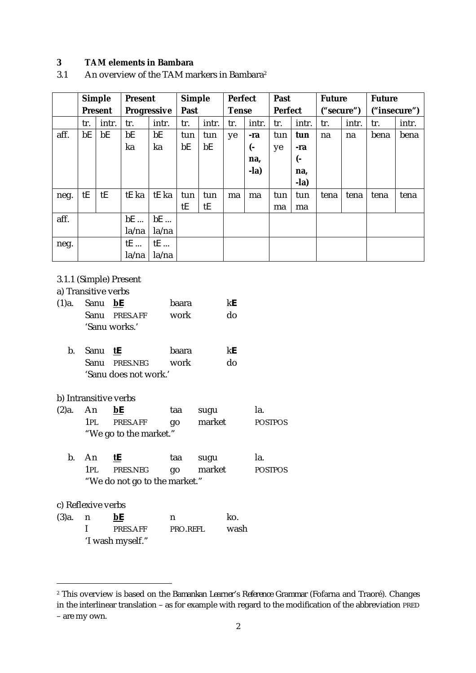## **3 TAM elements in Bambara**

3.1 An overview of the TAM markers in Bambara<sup>2</sup>

|      |     | <b>Simple</b>  | <b>Present</b> |             | <b>Simple</b> |       | <b>Perfect</b> |        | Past    |        | <b>Future</b> |       | <b>Future</b> |       |
|------|-----|----------------|----------------|-------------|---------------|-------|----------------|--------|---------|--------|---------------|-------|---------------|-------|
|      |     | <b>Present</b> |                | Progressive | Past          |       | <b>Tense</b>   |        | Perfect |        | ("secure")    |       | ("insecure")  |       |
|      | tr. | intr.          | tr.            | intr.       | tr.           | intr. | tr.            | intr.  | tr.     | intr.  | tr.           | intr. | tr.           | intr. |
| aff. | bE  | bE             | bE             | bE          | tun           | tun   | ye             | -ra    | tun     | tun    | na            | na    | bena          | bena  |
|      |     |                | ka             | ka          | bE            | bE    |                | (−     | ye      | -ra    |               |       |               |       |
|      |     |                |                |             |               |       |                | na,    |         | (-     |               |       |               |       |
|      |     |                |                |             |               |       |                | $-la)$ |         | na,    |               |       |               |       |
|      |     |                |                |             |               |       |                |        |         | $-la)$ |               |       |               |       |
| neg. | tE  | tE             | tE ka          | tE ka       | tun           | tun   | ma             | ma     | tun     | tun    | tena          | tena  | tena          | tena  |
|      |     |                |                |             | tE            | tE    |                |        | ma      | ma     |               |       |               |       |
| aff. |     |                | $bE$           | bE          |               |       |                |        |         |        |               |       |               |       |
|      |     |                | la/na          | la/na       |               |       |                |        |         |        |               |       |               |       |
| neg. |     |                | tE             | tE          |               |       |                |        |         |        |               |       |               |       |
|      |     |                | la/na          | la/na       |               |       |                |        |         |        |               |       |               |       |

## 3.1.1 (Simple) Present

#### a) Transitive verbs

| $(1)a$ . Sanu <b>bE</b> |               | baara | kF. |
|-------------------------|---------------|-------|-----|
|                         | Sanu PRES.AFF | work  | do  |
|                         | 'Sanu works.' |       |     |
|                         |               |       |     |

 b. Sanu **tE** baara k**E** Sanu PRES.NEG work do 'Sanu does not work.'

## b) Intransitive verbs

| $(2)a$ . An |       | <u>bE</u>              | taa  | sugu   | Ia.            |
|-------------|-------|------------------------|------|--------|----------------|
|             | 1PI - | PRES.AFF               | - ao | market | <b>POSTPOS</b> |
|             |       | "We go to the market." |      |        |                |

|  | b. An                         | tE                     | taa | sugu | Ia.            |
|--|-------------------------------|------------------------|-----|------|----------------|
|  |                               | 1PL PRES.NEG go market |     |      | <b>POSTPOS</b> |
|  | "We do not go to the market." |                        |     |      |                |

## c) Reflexive verbs

 $\overline{a}$ 

| (3)a. | n. | bE               | n        | ko.  |
|-------|----|------------------|----------|------|
|       |    | PRES.AFF         | PRO RFFI | wash |
|       |    | 'I wash myself." |          |      |

<sup>2</sup> This overview is based on the *Bamankan Learner's Reference Grammar* (Fofarna and Traoré). Changes in the interlinear translation – as for example with regard to the modification of the abbreviation PRED – are my own.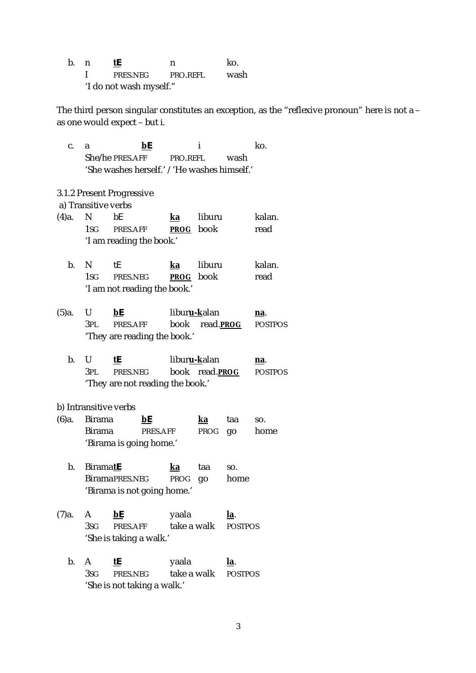b. n **tE** n ko. I PRES.NEG PRO.REFL wash 'I do not wash myself."

The third person singular constitutes an exception, as the "reflexive pronoun" here is not *a* – as one would expect – but *i*.

 c. a **bE** i ko. She/he PRES.AFF PRO.REFL wash 'She washes herself.' / 'He washes himself.'

3.1.2 Present Progressive

a) Transitive verbs

| (4)a. N | bF                       | ka               | liburu | kalan. |
|---------|--------------------------|------------------|--------|--------|
|         | 1sg Pres.AFF             | <b>PROG</b> book |        | read   |
|         | 'I am reading the book.' |                  |        |        |

- b. N tE **ka** liburu kalan. 1SG PRES.NEG **PROG** book read 'I am not reading the book.'
- (5)a. U **bE** libur**u-k**alan **na**. 3PL PRES.AFF book read.**PROG** POSTPOS 'They are reading the book.'
	- b. U **tE** libur**u-k**alan **na**. 3PL PRES.NEG book read.**PROG** POSTPOS 'They are not reading the book.'

b) Intransitive verbs

- (6)a. Birama **bE ka** taa so. Birama PRES.AFF PROG go home 'Birama is going home.'
	- b. Birama**tE ka** taa so. BiramaPRES.NEG PROG go home 'Birama is not going home.'
- (7)a. A **bE** yaala **la**. 3SG PRES.AFF take a walk POSTPOS 'She is taking a walk.'
	- b. A **tE** yaala **la**. 3SG PRES.NEG take a walk POSTPOS 'She is not taking a walk.'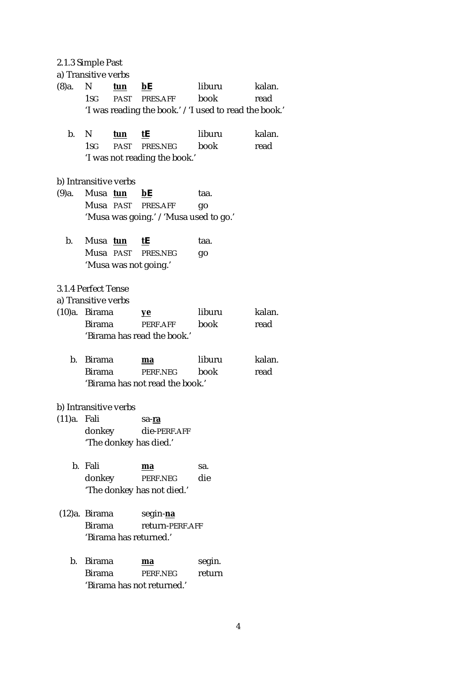2.1.3 Simple Past

|             | a) Transitive verbs   |     |                                                                               |                |                |
|-------------|-----------------------|-----|-------------------------------------------------------------------------------|----------------|----------------|
| (8)a.       | N<br>1sg i            | tun | bE<br>PAST PRES.AFF<br>'I was reading the book.' / 'I used to read the book.' | liburu<br>book | kalan.<br>read |
| b.          | N<br>1sg i            | tun | tE<br>PAST PRES.NEG<br>'I was not reading the book.'                          | liburu<br>book | kalan.<br>read |
|             | b) Intransitive verbs |     |                                                                               |                |                |
| (9)а.       | Musa tun              |     | bE                                                                            | taa.           |                |
|             |                       |     | Musa PAST PRES.AFF                                                            | go             |                |
|             |                       |     | 'Musa was going.' / 'Musa used to go.'                                        |                |                |
| b.          | Musa tun              |     | tE                                                                            | taa.           |                |
|             |                       |     | Musa PAST PRES.NEG                                                            | go             |                |
|             |                       |     | 'Musa was not going.'                                                         |                |                |
|             | 3.1.4 Perfect Tense   |     |                                                                               |                |                |
|             | a) Transitive verbs   |     |                                                                               |                |                |
|             | (10)a. Birama         |     | <u>ye</u>                                                                     | liburu         | kalan.         |
|             | <b>Birama</b>         |     | PERF.AFF                                                                      | book           | read           |
|             |                       |     | 'Birama has read the book.'                                                   |                |                |
| b.          | Birama                |     | ma                                                                            | liburu         | kalan.         |
|             | Birama                |     | PERF.NEG                                                                      | book           | read           |
|             |                       |     | 'Birama has not read the book.'                                               |                |                |
|             | b) Intransitive verbs |     |                                                                               |                |                |
| (11)a. Fali |                       |     | sa-ra                                                                         |                |                |
|             | donkey                |     | die-PERF.AFF                                                                  |                |                |
|             |                       |     | 'The donkey has died.'                                                        |                |                |
|             | b. Fali               |     | ma                                                                            | sa.            |                |
|             | donkey                |     | PERF.NEG<br>'The donkey has not died.'                                        | die            |                |
|             |                       |     |                                                                               |                |                |
|             |                       |     | (12)a. Birama segin-na                                                        |                |                |
|             | Birama                |     | return-PERF.AFF                                                               |                |                |
|             |                       |     | 'Birama has returned.'                                                        |                |                |

 b. Birama **ma** segin. Birama PERF.NEG return 'Birama has not returned.'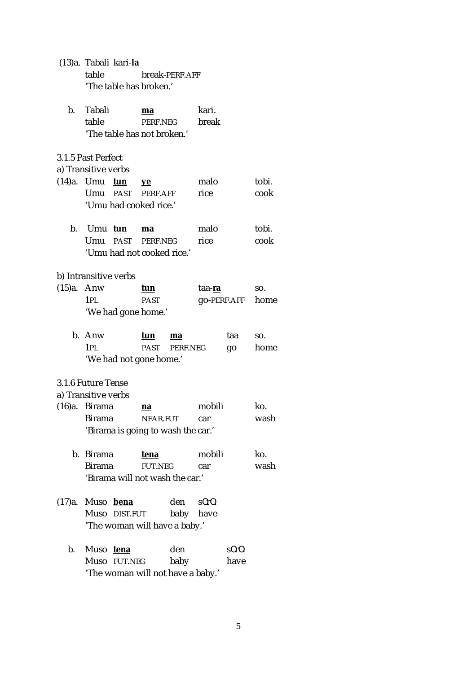|            | (13)a. Tabali kari- <u>la</u><br>table         |                | break-PERF.AFF |                |             |       |
|------------|------------------------------------------------|----------------|----------------|----------------|-------------|-------|
|            | 'The table has broken.'                        |                |                |                |             |       |
| b.         | Tabali<br>table<br>'The table has not broken.' | ma<br>PERF.NEG |                | kari.<br>break |             |       |
|            | 3.1.5 Past Perfect                             |                |                |                |             |       |
|            | a) Transitive verbs                            |                |                |                |             |       |
|            | (14)a. Umu<br><u>tun</u>                       | yе             |                | malo           |             | tobi. |
|            | Umu PAST PERF.AFF                              |                |                | rice           |             | cook  |
|            | 'Umu had cooked rice.'                         |                |                |                |             |       |
| b.         | Umu tun                                        | ma             |                | malo           |             | tobi. |
|            | Umu past                                       | PERF.NEG       |                | rice           |             | cook  |
|            | 'Umu had not cooked rice.'                     |                |                |                |             |       |
|            | b) Intransitive verbs                          |                |                |                |             |       |
| (15)a. Anw |                                                | tun            |                | taa- <b>ra</b> |             | SO.   |
|            | 1PL                                            | <b>PAST</b>    |                |                | go-PERF.AFF | home  |
|            | 'We had gone home.'                            |                |                |                |             |       |
| $b_{-}$    | Anw                                            | tun            | ma             |                | taa         | SO.   |
|            | 1PL                                            | <b>PAST</b>    | PERF.NEG       |                | go          | home  |
|            | 'We had not gone home.'                        |                |                |                |             |       |
|            | 3.1.6 Future Tense                             |                |                |                |             |       |
|            | a) Transitive verbs                            |                |                |                |             |       |
|            | (16)a. Birama                                  | na             |                | mobili         |             | ko.   |
|            | Birama                                         | NEAR.FUT       |                | car            |             | wash  |
|            | 'Birama is going to wash the car.'             |                |                |                |             |       |
| b.         | <b>Birama</b>                                  | tena           |                | mobili         |             | ko.   |
|            | <b>Birama</b>                                  | <b>FUT.NEG</b> |                | car            |             | wash  |
|            | 'Birama will not wash the car.'                |                |                |                |             |       |
| (17)a.     | Muso bena                                      |                | den            | s0r0.          |             |       |
|            | Muso<br>DIST.FUT                               |                | baby           | have           |             |       |
|            | 'The woman will have a baby.'                  |                |                |                |             |       |
| b.         | Muso tena                                      |                | den            |                | s0r0.       |       |
|            | Muso<br><b>FUT.NEG</b>                         |                | baby           |                | have        |       |
|            |                                                |                |                |                |             |       |

'The woman will not have a baby.'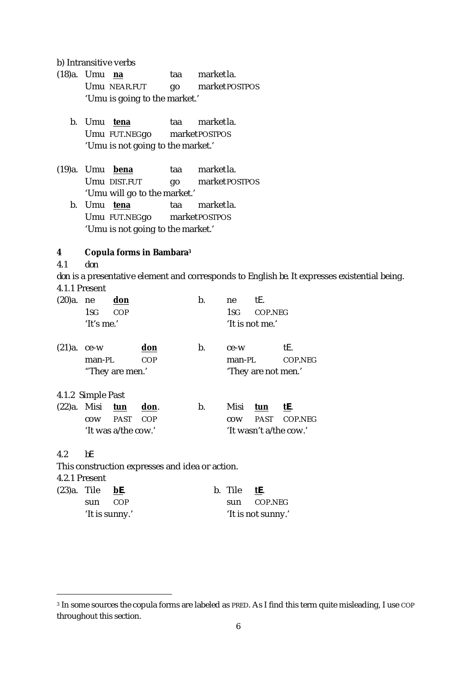b) Intransitive verbs

- (18)a. Umu **na** taa marketla. Umu NEAR.FUT qo market POSTPOS 'Umu is going to the market.'
	- b. Umu **tena** taa marketla. Umu FUT.NEGgo marketPOSTPOS 'Umu is not going to the market.'
- (19)a. Umu **bena** taa marketla. Umu DIST.FUT go market POSTPOS 'Umu will go to the market.'
	- b. Umu **tena** taa marketla. Umu FUT.NEGgo marketPOSTPOS 'Umu is not going to the market.'

### **4 Copula forms in Bambara<sup>3</sup>**

4.1 *don*

 $\overline{a}$ 

*don* is a presentative element and corresponds to English *be*. It expresses existential being. 4.1.1 Present

| (20)a.         | ne<br>1sg<br>'lt's me.' | don<br>COP          |                                                 | b. | ne<br>1sg | tE.<br>COP.NEG<br>'It is not me.' |                        |
|----------------|-------------------------|---------------------|-------------------------------------------------|----|-----------|-----------------------------------|------------------------|
| (21)a.         | ce-w                    |                     | don                                             | b. | ce-w      |                                   | tE.                    |
|                | man-PL                  |                     | <b>COP</b>                                      |    | man-PL    |                                   | COP.NEG                |
|                |                         | "They are men."     |                                                 |    |           | 'They are not men.'               |                        |
|                | 4.1.2 Simple Past       |                     |                                                 |    |           |                                   |                        |
|                | (22)a. Misi tun         |                     | don.                                            | b. | Misi      | tun                               | tE.                    |
|                | COW                     | PAST                | <b>COP</b>                                      |    | COW       | PAST                              | COP.NEG                |
|                |                         | 'It was a/the cow.' |                                                 |    |           |                                   | 'It wasn't a/the cow.' |
| 4.2            | bE                      |                     |                                                 |    |           |                                   |                        |
|                |                         |                     | This construction expresses and idea or action. |    |           |                                   |                        |
| 4.2.1 Present  |                         |                     |                                                 |    |           |                                   |                        |
| $(23)a$ . Tile |                         | <u>bE.</u>          |                                                 |    | b. Tile   | tE.                               |                        |

sun COP sun COP.NEG 'It is sunny.' 'It is not sunny.'

<sup>3</sup> In some sources the copula forms are labeled as PRED. As I find this term quite misleading, I use COP throughout this section.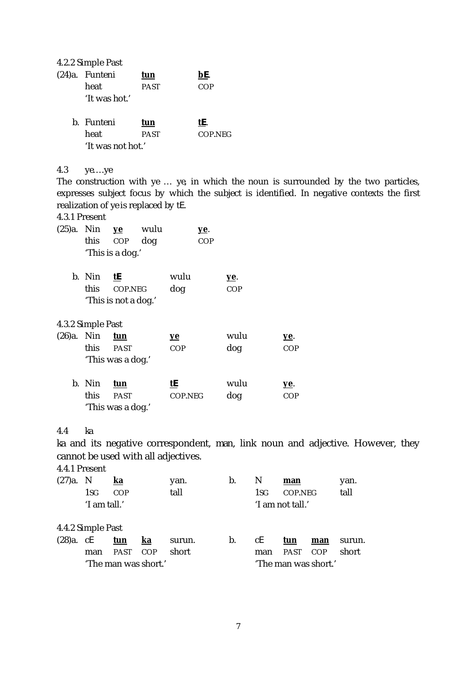4.2.2 Simple Past

| (24)a. Funteni | tun         | bE. |
|----------------|-------------|-----|
| heat           | <b>PAST</b> | COP |
| 'It was hot.'  |             |     |

| b. Funteni        | tun         | tE.     |
|-------------------|-------------|---------|
| heat              | <b>PAST</b> | COP.NEG |
| 'It was not hot.' |             |         |

## 4.3 *ye….ye*

The construction with *ye … ye*, in which the noun is surrounded by the two particles, expresses subject focus by which the subject is identified. In negative contexts the first realization of *ye* is replaced by *tE*.

## 4.3.1 Present

| (25)a. Nin | this              | $ve$<br>COP<br>'This is a dog.'              | wulu<br>dog |                         | <u>ye</u> .<br>COP |                           |                    |
|------------|-------------------|----------------------------------------------|-------------|-------------------------|--------------------|---------------------------|--------------------|
|            | b. Nin<br>this    | <u>tE</u><br>COP.NEG<br>'This is not a dog.' |             | wulu<br>dog             |                    | <u>ye</u> .<br><b>COP</b> |                    |
|            | 4.3.2 Simple Past |                                              |             |                         |                    |                           |                    |
| (26)a. Nin | this.             | tun<br><b>PAST</b><br>'This was a dog.'      |             | <u>ye</u><br><b>COP</b> |                    | wulu<br>dog               | <u>уе</u> .<br>COP |
|            | b. Nin<br>this    | tun<br><b>PAST</b><br>'This was a dog.'      |             | <u>tE</u><br>COP.NEG    |                    | wulu<br>dog               | <u>ye</u> .<br>COP |

### 4.4 *ka*

*ka* and its negative correspondent, *man*, link noun and adjective. However, they cannot be used with all adjectives.

4.4.1 Present

| (27)a.         | N                                | ka          |                      | yan.   | b. | N   | man         |                      | yan.   |
|----------------|----------------------------------|-------------|----------------------|--------|----|-----|-------------|----------------------|--------|
|                | 1sg                              | COP         |                      | tall   |    | 1sg | COP.NEG     |                      | tall   |
|                | 'I am tall.'<br>'I am not tall.' |             |                      |        |    |     |             |                      |        |
|                | 4.4.2 Simple Past                |             |                      |        |    |     |             |                      |        |
| $(28)a$ . $cE$ |                                  | tun         | ka                   | surun. | b. | сE  | tun         | man                  | surun. |
|                | man                              | <b>PAST</b> | COP                  | short  |    | man | <b>PAST</b> | COP                  | short  |
|                |                                  |             | 'The man was short.' |        |    |     |             | 'The man was short.' |        |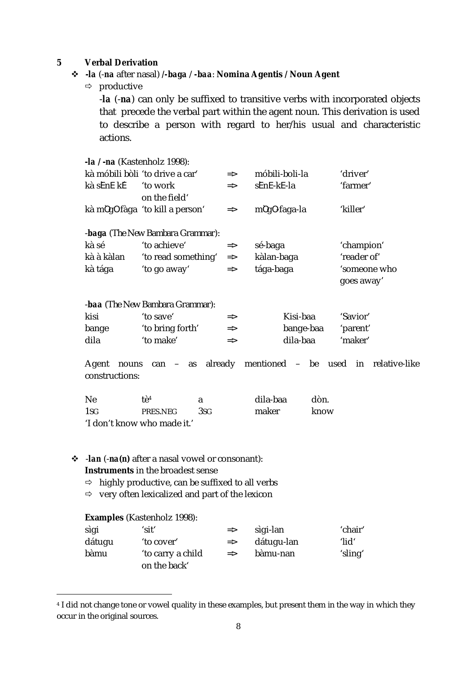## **5 Verbal Derivation**

## **-***la* (-*na* after nasal) */-baga* / *-baa*: **Nomina Agentis / Noun Agent**

 $\Rightarrow$  productive

-*la* (-*na*) can only be suffixed to transitive verbs with incorporated objects that precede the verbal part within the agent noun. This derivation is used to describe a person with regard to her/his usual and characteristic actions.

|                | <b>-<i>la l -na</i></b> (Kastenholz 1998): |               |                                       |         |              |               |  |  |
|----------------|--------------------------------------------|---------------|---------------------------------------|---------|--------------|---------------|--|--|
|                | kà móbili bòli 'to drive a car'            | $\Rightarrow$ | móbili-boli-la                        |         | 'driver'     |               |  |  |
| kà sEnE kE     | 'to work                                   | $\Rightarrow$ | sEnE-kE-la                            |         | 'farmer'     |               |  |  |
|                | on the field'                              |               |                                       |         |              |               |  |  |
|                | kà m0g0 fàga 'to kill a person'            | $\Rightarrow$ | m0g0-faga-la                          |         | 'killer'     |               |  |  |
|                |                                            |               |                                       |         |              |               |  |  |
|                | <b>-baga</b> (The New Bambara Grammar):    |               |                                       |         |              |               |  |  |
| kà sé          | 'to achieve'                               | $\Rightarrow$ | sé-baga                               |         | 'champion'   |               |  |  |
| kà à kàlan     | 'to read something'                        | $\Rightarrow$ | kàlan-baga                            |         | 'reader of'  |               |  |  |
| kà tága        | 'to go away'                               | $\Rightarrow$ | tága-baga                             |         | 'someone who |               |  |  |
|                |                                            |               |                                       |         | goes away'   |               |  |  |
|                |                                            |               |                                       |         |              |               |  |  |
|                | <b>-baa</b> (The New Bambara Grammar):     |               |                                       |         |              |               |  |  |
| kisi           | 'to save'                                  | $\Rightarrow$ | Kisi-baa                              |         | 'Savior'     |               |  |  |
| bange          | 'to bring forth'                           | $\Rightarrow$ | bange-baa                             |         | 'parent'     |               |  |  |
| dila           | 'to make'                                  | $\Rightarrow$ | dila-baa                              |         | 'maker'      |               |  |  |
|                |                                            |               |                                       |         |              |               |  |  |
| Agent<br>nouns | as already<br>$can -$                      |               | mentioned<br>$\overline{\phantom{0}}$ | be used | in           | relative-like |  |  |
| constructions: |                                            |               |                                       |         |              |               |  |  |
|                |                                            |               |                                       |         |              |               |  |  |
| <b>Ne</b>      | tè <sup>4</sup><br>a                       |               | dila-baa                              | dòn.    |              |               |  |  |
| 1sg            | 3 <sub>SG</sub><br>PRES.NEG                |               | maker                                 | know    |              |               |  |  |
|                | 'I don't know who made it.'                |               |                                       |         |              |               |  |  |
|                |                                            |               |                                       |         |              |               |  |  |

#### -*lan* (-*na(n)* after a nasal vowel or consonant): **Instruments** in the broadest sense

- $\Rightarrow$  highly productive, can be suffixed to all verbs
- $\Rightarrow$  very often lexicalized and part of the lexicon

### **Examples** (Kastenholz 1998):

 $\overline{a}$ 

| sìgi   | 'sit'             | $\Rightarrow$ | sìgi-lan   | 'chair'  |
|--------|-------------------|---------------|------------|----------|
| dátuqu | 'to cover'        | $\Rightarrow$ | dátugu-lan | $'$ lid' |
| bàmu   | 'to carry a child | $\Rightarrow$ | bàmu-nan   | 'sling'  |
|        | on the back'      |               |            |          |

<sup>4</sup> I did not change tone or vowel quality in these examples, but present them in the way in which they occur in the original sources.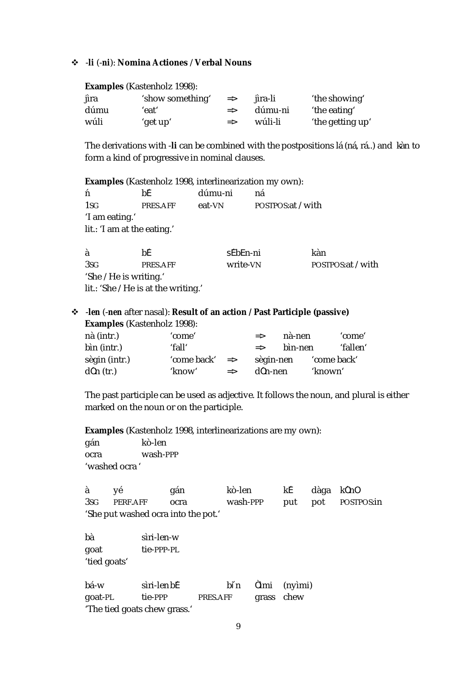#### -*li* (-*ni*): **Nomina Actiones** / **Verbal Nouns**

#### **Examples** (Kastenholz 1998):

| jìra | 'show something' | $\Rightarrow$ | iìra-li               | 'the showing'    |
|------|------------------|---------------|-----------------------|------------------|
| dúmu | 'eat'            |               | $\Rightarrow$ dúmu-ni | 'the eating'     |
| wúli | 'get up'         | $\Rightarrow$ | wúli-li               | 'the getting up' |

The derivations with -*li* can be combined with the postpositions *lá* (*ná*, *rá*..) and *kàn* to form a kind of progressive in nominal clauses.

**Examples** (Kastenholz 1998, interlinearization my own):

| ń                                   | bF.      | dúmu-ni | na                 |  |  |  |  |
|-------------------------------------|----------|---------|--------------------|--|--|--|--|
| 1sg                                 | PRES.AFF | eat-VN  | POSTPOS: at / with |  |  |  |  |
| 'I am eating.'                      |          |         |                    |  |  |  |  |
| <i>lit.</i> : 'I am at the eating.' |          |         |                    |  |  |  |  |
|                                     |          |         |                    |  |  |  |  |

à bề sẽbēn-ni kàn 3SG PRES.AFF write-VN POSTPOS:at / with 'She / He is writing.' *lit*.: 'She / He is at the writing.'

## -*len* (-*nen* after nasal): **Result of an action / Past Participle (passive) Examples** (Kastenholz 1998):

| nà (intr.)    | 'come'      |               | $\Rightarrow$ | nà-nen  |             | 'come'   |
|---------------|-------------|---------------|---------------|---------|-------------|----------|
| bìn (intr.)   | 'fall'      |               | $\Rightarrow$ | bìn-nen |             | 'fallen' |
| sègin (intr.) | 'come back' | $\Rightarrow$ | sègin-nen     |         | 'come back' |          |
| $d0n$ (tr.)   | 'know'      | $\Rightarrow$ | d0n-nen       |         | 'known'     |          |

The past participle can be used as adjective. It follows the noun, and plural is either marked on the noun or on the participle.

**Examples** (Kastenholz 1998, interlinearizations are my own):

gán kò-len ocra wash-PPP 'washed ocra '

à yé gán kò-len kE dàga kônô 3SG PERF.AFF ocra wash-PPP put pot POSTPOS:in 'She put washed ocra into the pot.'

bà sìri-len-w goat tie-PPP-PL 'tied goats'

bá-w sìri-lenbE bin Òìmi (nyìmi) goat-PL tie-PPP PRES.AFF grass chew 'The tied goats chew grass.'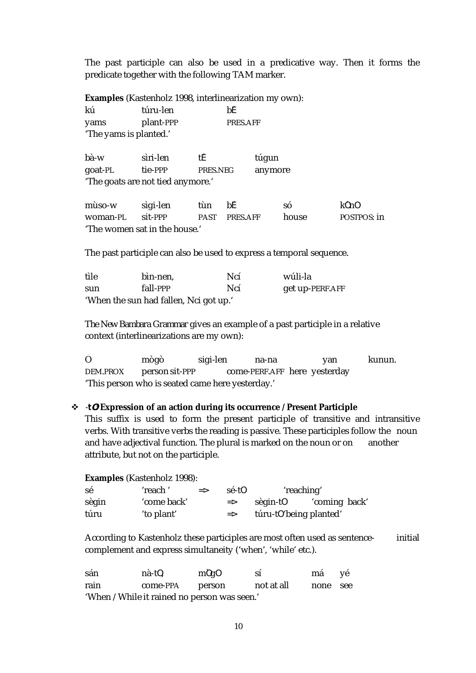The past participle can also be used in a predicative way. Then it forms the predicate together with the following TAM marker.

**Examples** (Kastenholz 1998, interlinearization my own):

| kú                     | túru-len  | bF       |
|------------------------|-----------|----------|
| yams                   | plant-PPP | PRES.AFF |
| 'The yams is planted.' |           |          |

bà-w sìri-len tE túgun goat-PL tie-PPP PRES.NEG anymore 'The goats are not tied anymore.'

mùso-w sìgi-len tùn bE só kônô woman-PL sit-PPP PAST PRES.AFF house POSTPOS: in 'The women sat in the house.'

The past participle can also be used to express a temporal sequence.

| tìle | bin-nen,                               | Ncí | wúli-la         |
|------|----------------------------------------|-----|-----------------|
| sun  | fall-PPP                               | Ncí | get up-PERF.AFF |
|      | 'When the sun had fallen, Nci got up.' |     |                 |

*The New Bambara Grammar* gives an example of a past participle in a relative context (interlinearizations are my own):

O mògò sigi-len na-na yan kunun. DEM.PROX person sit-PPP come-PERF.AFF here yesterday 'This person who is seated came here yesterday.'

## -*tO*: **Expression of an action during its occurrence / Present Participle**

This suffix is used to form the present participle of transitive and intransitive verbs. With transitive verbs the reading is passive. These participles follow the noun and have adjectival function. The plural is marked on the noun or on another attribute, but not on the participle.

| <b>Examples</b> (Kastenholz 1998): |             |               |               |                         |               |  |  |  |
|------------------------------------|-------------|---------------|---------------|-------------------------|---------------|--|--|--|
| sé                                 | 'reach'     | $\Rightarrow$ | sé-t0         | 'reaching'              |               |  |  |  |
| sègin                              | 'come back' |               | $\Rightarrow$ | sègin-t0                | 'coming back' |  |  |  |
| túru                               | 'to plant'  |               | $\Rightarrow$ | túru-t0 'being planted' |               |  |  |  |

According to Kastenholz these participles are most often used as sentence- initial complement and express simultaneity ('when', 'while' etc.).

| sán                                          | nà-t0,   | m0q0   | SÍ         | má       | - ye |  |  |
|----------------------------------------------|----------|--------|------------|----------|------|--|--|
| rain                                         | come-PPA | person | not at all | none see |      |  |  |
| 'When / While it rained no person was seen.' |          |        |            |          |      |  |  |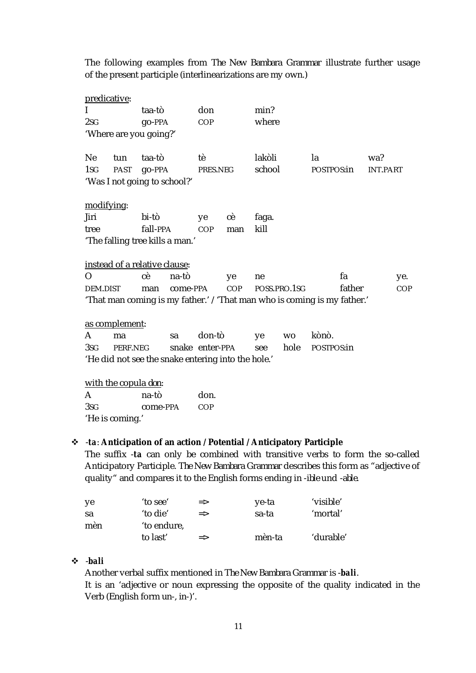The following examples from *The New Bambara Grammar* illustrate further usage of the present participle (interlinearizations are my own.)

| predicative:                                       |                               |               |          |                 |            |        |              |                                                                          |                 |     |
|----------------------------------------------------|-------------------------------|---------------|----------|-----------------|------------|--------|--------------|--------------------------------------------------------------------------|-----------------|-----|
| L                                                  |                               | taa-tò        |          | don             |            | min?   |              |                                                                          |                 |     |
| 2sG                                                |                               | <b>go-PPA</b> |          | COP             |            | where  |              |                                                                          |                 |     |
|                                                    | 'Where are you going?'        |               |          |                 |            |        |              |                                                                          |                 |     |
|                                                    |                               |               |          |                 |            |        |              |                                                                          |                 |     |
| <b>Ne</b>                                          | tun                           | taa-tò        |          | tè              |            | lakòli |              | la                                                                       | wa?             |     |
| 1 <sub>SG</sub>                                    | PAST                          | go-PPA        |          | PRES.NEG        |            | school |              | POSTPOS:in                                                               | <b>INT.PART</b> |     |
|                                                    | 'Was I not going to school?'  |               |          |                 |            |        |              |                                                                          |                 |     |
|                                                    |                               |               |          |                 |            |        |              |                                                                          |                 |     |
| modifying:                                         |                               |               |          |                 |            |        |              |                                                                          |                 |     |
| Jiri                                               |                               | bi-tò         |          | ye              | сè         | faga.  |              |                                                                          |                 |     |
| tree                                               |                               | fall-PPA      |          | COP             | man        | kill   |              |                                                                          |                 |     |
| 'The falling tree kills a man.'                    |                               |               |          |                 |            |        |              |                                                                          |                 |     |
|                                                    |                               |               |          |                 |            |        |              |                                                                          |                 |     |
|                                                    | instead of a relative clause: |               |          |                 |            |        |              |                                                                          |                 |     |
| $\Omega$                                           |                               | сè            | na-tò    |                 | ye         | ne     |              | fa                                                                       |                 | ye. |
| DEM.DIST                                           |                               | man           | come-PPA |                 | <b>COP</b> |        | POSS.PRO.1SG | father                                                                   |                 | COP |
|                                                    |                               |               |          |                 |            |        |              | 'That man coming is my father.' / 'That man who is coming is my father.' |                 |     |
|                                                    |                               |               |          |                 |            |        |              |                                                                          |                 |     |
|                                                    | as complement:                |               |          |                 |            |        |              |                                                                          |                 |     |
| A                                                  | ma                            |               | sa       | don-tò          |            | ye     | <b>WO</b>    | kònò.                                                                    |                 |     |
| 3SG                                                | PERF.NEG                      |               |          | snake enter-PPA |            | see    | hole         | POSTPOS:in                                                               |                 |     |
| 'He did not see the snake entering into the hole.' |                               |               |          |                 |            |        |              |                                                                          |                 |     |
|                                                    |                               |               |          |                 |            |        |              |                                                                          |                 |     |
| with the copula <i>don</i> :                       |                               |               |          |                 |            |        |              |                                                                          |                 |     |

| $\mathsf{A}$    | na-tò    | don. |
|-----------------|----------|------|
| 3SG             | come-PPA | COP  |
| 'He is coming.' |          |      |

### -*ta*: **Anticipation of an action / Potential / Anticipatory Participle**

The suffix -*ta* can only be combined with transitive verbs to form the so-called Anticipatory Participle. *The New Bambara Grammar* describes this form as "adjective of quality" and compares it to the English forms ending in -*ible* und -*able*.

| -ye | 'to see'                | $\Rightarrow$ | ye-ta  | 'visible' |
|-----|-------------------------|---------------|--------|-----------|
| sa  | 'to die'                | $\Rightarrow$ | sa-ta  | 'mortal   |
| mèn | 'to endure,<br>to last' | $\Rightarrow$ | mèn-ta | 'durable' |

# -*bali*

Another verbal suffix mentioned in *The New Bambara Grammar* is -*bali*. It is an 'adjective or noun expressing the opposite of the quality indicated in the Verb (English form *un*-, *in*-)'.